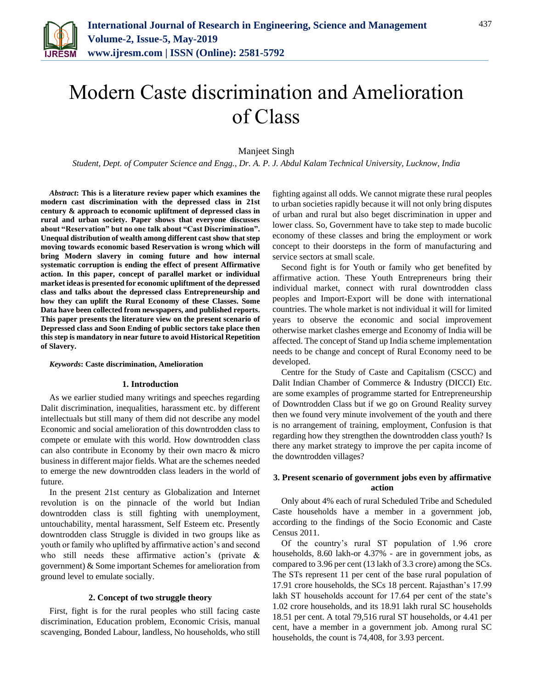

# Modern Caste discrimination and Amelioration of Class

Manjeet Singh

*Student, Dept. of Computer Science and Engg., Dr. A. P. J. Abdul Kalam Technical University, Lucknow, India*

*Abstract***: This is a literature review paper which examines the modern cast discrimination with the depressed class in 21st century & approach to economic upliftment of depressed class in rural and urban society. Paper shows that everyone discusses about "Reservation" but no one talk about "Cast Discrimination". Unequal distribution of wealth among different cast show that step moving towards economic based Reservation is wrong which will bring Modern slavery in coming future and how internal systematic corruption is ending the effect of present Affirmative action. In this paper, concept of parallel market or individual market ideas is presented for economic upliftment of the depressed class and talks about the depressed class Entrepreneurship and how they can uplift the Rural Economy of these Classes. Some Data have been collected from newspapers, and published reports. This paper presents the literature view on the present scenario of Depressed class and Soon Ending of public sectors take place then this step is mandatory in near future to avoid Historical Repetition of Slavery.**

#### *Keywords***: Caste discrimination, Amelioration**

#### **1. Introduction**

As we earlier studied many writings and speeches regarding Dalit discrimination, inequalities, harassment etc. by different intellectuals but still many of them did not describe any model Economic and social amelioration of this downtrodden class to compete or emulate with this world. How downtrodden class can also contribute in Economy by their own macro & micro business in different major fields. What are the schemes needed to emerge the new downtrodden class leaders in the world of future.

In the present 21st century as Globalization and Internet revolution is on the pinnacle of the world but Indian downtrodden class is still fighting with unemployment, untouchability, mental harassment, Self Esteem etc. Presently downtrodden class Struggle is divided in two groups like as youth or family who uplifted by affirmative action's and second who still needs these affirmative action's (private & government) & Some important Schemes for amelioration from ground level to emulate socially.

#### **2. Concept of two struggle theory**

First, fight is for the rural peoples who still facing caste discrimination, Education problem, Economic Crisis, manual scavenging, Bonded Labour, landless, No households, who still

fighting against all odds. We cannot migrate these rural peoples to urban societies rapidly because it will not only bring disputes of urban and rural but also beget discrimination in upper and lower class. So, Government have to take step to made bucolic economy of these classes and bring the employment or work concept to their doorsteps in the form of manufacturing and service sectors at small scale.

Second fight is for Youth or family who get benefited by affirmative action. These Youth Entrepreneurs bring their individual market, connect with rural downtrodden class peoples and Import-Export will be done with international countries. The whole market is not individual it will for limited years to observe the economic and social improvement otherwise market clashes emerge and Economy of India will be affected. The concept of Stand up India scheme implementation needs to be change and concept of Rural Economy need to be developed.

Centre for the Study of Caste and Capitalism (CSCC) and Dalit Indian Chamber of Commerce & Industry (DICCI) Etc. are some examples of programme started for Entrepreneurship of Downtrodden Class but if we go on Ground Reality survey then we found very minute involvement of the youth and there is no arrangement of training, employment, Confusion is that regarding how they strengthen the downtrodden class youth? Is there any market strategy to improve the per capita income of the downtrodden villages?

# **3. Present scenario of government jobs even by affirmative action**

Only about 4% each of rural Scheduled Tribe and Scheduled Caste households have a member in a government job, according to the findings of the Socio Economic and Caste Census 2011.

Of the country's rural ST population of 1.96 crore households, 8.60 lakh-or 4.37% - are in government jobs, as compared to 3.96 per cent (13 lakh of 3.3 crore) among the SCs. The STs represent 11 per cent of the base rural population of 17.91 crore households, the SCs 18 percent. Rajasthan's 17.99 lakh ST households account for 17.64 per cent of the state's 1.02 crore households, and its 18.91 lakh rural SC households 18.51 per cent. A total 79,516 rural ST households, or 4.41 per cent, have a member in a government job. Among rural SC households, the count is 74,408, for 3.93 percent.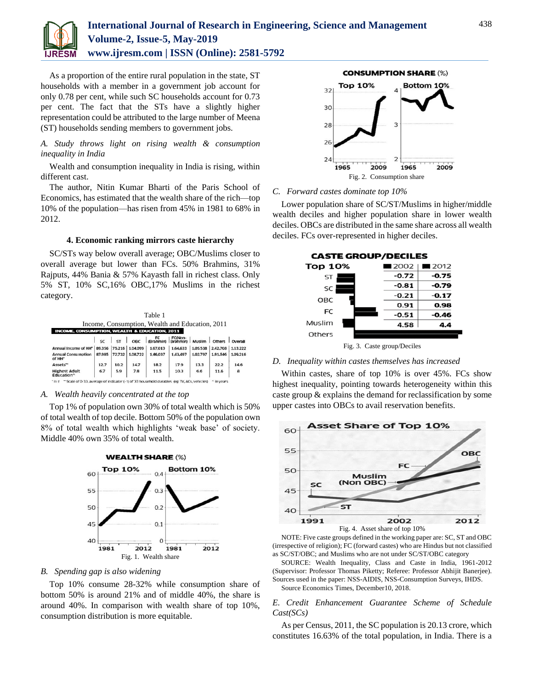

# **International Journal of Research in Engineering, Science and Management Volume-2, Issue-5, May-2019 www.ijresm.com | ISSN (Online): 2581-5792**

As a proportion of the entire rural population in the state, ST households with a member in a government job account for only 0.78 per cent, while such SC households account for 0.73 per cent. The fact that the STs have a slightly higher representation could be attributed to the large number of Meena (ST) households sending members to government jobs.

# *A. Study throws light on rising wealth & consumption inequality in India*

Wealth and consumption inequality in India is rising, within different cast.

The author, Nitin Kumar Bharti of the Paris School of Economics, has estimated that the wealth share of the rich—top 10% of the population—has risen from 45% in 1981 to 68% in 2012.

#### **4. Economic ranking mirrors caste hierarchy**

SC/STs way below overall average; OBC/Muslims closer to overall average but lower than FCs. 50% Brahmins, 31% Rajputs, 44% Bania & 57% Kayasth fall in richest class. Only 5% ST, 10% SC,16% OBC,17% Muslims in the richest category.

| Table 1<br>Income, Consumption, Wealth and Education, 2011<br><b>INCOME, CONSUMPTION, WEALTH &amp; EDUCATION, 2011</b> |        |        |          |          |          |          |            |          |                      |        |                                                                                                    |          |                                                                                                                                                                                                                             |          |          |          |                  |
|------------------------------------------------------------------------------------------------------------------------|--------|--------|----------|----------|----------|----------|------------|----------|----------------------|--------|----------------------------------------------------------------------------------------------------|----------|-----------------------------------------------------------------------------------------------------------------------------------------------------------------------------------------------------------------------------|----------|----------|----------|------------------|
|                                                                                                                        |        |        |          |          |          |          |            |          |                      |        | $\left  \begin{array}{c} 1 \end{array} \right $ sr $\left  \begin{array}{c} 1 \end{array} \right $ | OBC      | $E$ $E$ $E$ $E$ $N$ $n$ $N$ $l$ $n$ $l$ $n$ $l$ $n$ $l$ $n$ $l$ $n$ $l$ $n$ $l$ $n$ $l$ $n$ $l$ $n$ $l$ $n$ $l$ $n$ $l$ $n$ $l$ $n$ $l$ $n$ $l$ $n$ $l$ $n$ $l$ $n$ $l$ $n$ $l$ $n$ $l$ $n$ $l$ $n$ $l$ $n$ $l$ $n$ $l$ $n$ |          |          |          | others   Overall |
|                                                                                                                        |        |        |          |          |          |          |            |          | Annual Income of HH* | 89.356 | 75.215                                                                                             | 1.04.099 | 1.67.013                                                                                                                                                                                                                    | 1,64,633 | 1.05.538 | 2.42.708 | 1.13.222         |
| <b>Annual Consumption</b><br>of HH*                                                                                    | 87,985 | 72.732 | 1,08,722 | 1.46.037 | 1,43,497 | 1,02,797 | 1,81,546   | 1.09.216 |                      |        |                                                                                                    |          |                                                                                                                                                                                                                             |          |          |          |                  |
| Assets**                                                                                                               | 12.7   | 10.2   | 14.7     | 18.2     | 17.9     | 13.3     | 22.2       | 14.6     |                      |        |                                                                                                    |          |                                                                                                                                                                                                                             |          |          |          |                  |
| <b>Highest Adult</b><br>Education^                                                                                     | 6.7    | 5.9    | 7.8      | 11.5     | 10.3     | 6.6      | 11.6       | 8        |                      |        |                                                                                                    |          |                                                                                                                                                                                                                             |          |          |          |                  |
| tin x ** Scale of 0.33, average of indicator (1) of 33 housebold durables, leg TV, Afs, vehicles                       |        |        |          |          |          |          | A In vears |          |                      |        |                                                                                                    |          |                                                                                                                                                                                                                             |          |          |          |                  |

#### *A. Wealth heavily concentrated at the top*

Top 1% of population own 30% of total wealth which is 50% of total wealth of top decile. Bottom 50% of the population own 8% of total wealth which highlights 'weak base' of society. Middle 40% own 35% of total wealth.



#### *B. Spending gap is also widening*

Top 10% consume 28-32% while consumption share of bottom 50% is around 21% and of middle 40%, the share is around 40%. In comparison with wealth share of top 10%, consumption distribution is more equitable.



#### *C. Forward castes dominate top 10%*

Lower population share of SC/ST/Muslims in higher/middle wealth deciles and higher population share in lower wealth deciles. OBCs are distributed in the same share across all wealth deciles. FCs over-represented in higher deciles.



Fig. 3. Caste group/Deciles

# *D. Inequality within castes themselves has increased*

Within castes, share of top 10% is over 45%. FCs show highest inequality, pointing towards heterogeneity within this caste group & explains the demand for reclassification by some upper castes into OBCs to avail reservation benefits.



NOTE: Five caste groups defined in the working paper are: SC, ST and OBC (irrespective of religion); FC (forward castes) who are Hindus but not classified as SC/ST/OBC; and Muslims who are not under SC/ST/OBC category

SOURCE: Wealth Inequality, Class and Caste in India, 1961-2012 (Supervisor: Professor Thomas Piketty; Referee: Professor Abhijit Banerjee). Sources used in the paper: NSS-AIDIS, NSS-Consumption Surveys, IHDS. Source Economics Times, December10, 2018.

# *E. Credit Enhancement Guarantee Scheme of Schedule Cast(SCs)*

As per Census, 2011, the SC population is 20.13 crore, which constitutes 16.63% of the total population, in India. There is a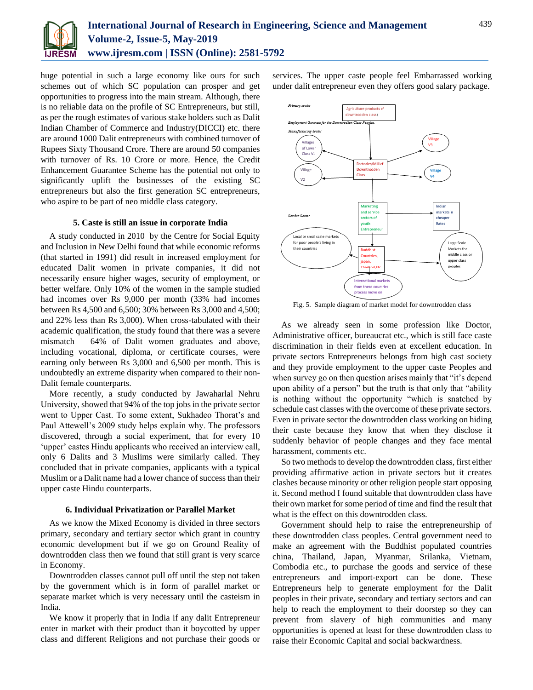

huge potential in such a large economy like ours for such schemes out of which SC population can prosper and get opportunities to progress into the main stream. Although, there is no reliable data on the profile of SC Entrepreneurs, but still, as per the rough estimates of various stake holders such as Dalit Indian Chamber of Commerce and Industry(DICCI) etc. there are around 1000 Dalit entrepreneurs with combined turnover of Rupees Sixty Thousand Crore. There are around 50 companies with turnover of Rs. 10 Crore or more. Hence, the Credit Enhancement Guarantee Scheme has the potential not only to significantly uplift the businesses of the existing SC entrepreneurs but also the first generation SC entrepreneurs, who aspire to be part of neo middle class category.

#### **5. Caste is still an issue in corporate India**

A study conducted in 2010 by the Centre for Social Equity and Inclusion in New Delhi found that while economic reforms (that started in 1991) did result in increased employment for educated Dalit women in private companies, it did not necessarily ensure higher wages, security of employment, or better welfare. Only 10% of the women in the sample studied had incomes over Rs 9,000 per month (33% had incomes between Rs 4,500 and 6,500; 30% between Rs 3,000 and 4,500; and 22% less than Rs 3,000). When cross-tabulated with their academic qualification, the study found that there was a severe mismatch – 64% of Dalit women graduates and above, including vocational, diploma, or certificate courses, were earning only between Rs 3,000 and 6,500 per month. This is undoubtedly an extreme disparity when compared to their non-Dalit female counterparts.

More recently, a study conducted by Jawaharlal Nehru University, showed that 94% of the top jobs in the private sector went to Upper Cast. To some extent, Sukhadeo Thorat's and Paul Attewell's 2009 study helps explain why. The professors discovered, through a social experiment, that for every 10 'upper' castes Hindu applicants who received an interview call, only 6 Dalits and 3 Muslims were similarly called. They concluded that in private companies, applicants with a typical Muslim or a Dalit name had a lower chance of success than their upper caste Hindu counterparts.

#### **6. Individual Privatization or Parallel Market**

As we know the Mixed Economy is divided in three sectors primary, secondary and tertiary sector which grant in country economic development but if we go on Ground Reality of downtrodden class then we found that still grant is very scarce in Economy.

Downtrodden classes cannot pull off until the step not taken by the government which is in form of parallel market or separate market which is very necessary until the casteism in India.

We know it properly that in India if any dalit Entrepreneur enter in market with their product than it boycotted by upper class and different Religions and not purchase their goods or services. The upper caste people feel Embarrassed working under dalit entrepreneur even they offers good salary package.



Fig. 5. Sample diagram of market model for downtrodden class

As we already seen in some profession like Doctor, Administrative officer, bureaucrat etc., which is still face caste discrimination in their fields even at excellent education. In private sectors Entrepreneurs belongs from high cast society and they provide employment to the upper caste Peoples and when survey go on then question arises mainly that "it's depend upon ability of a person" but the truth is that only that "ability is nothing without the opportunity "which is snatched by schedule cast classes with the overcome of these private sectors. Even in private sector the downtrodden class working on hiding their caste because they know that when they disclose it suddenly behavior of people changes and they face mental harassment, comments etc.

So two methods to develop the downtrodden class, first either providing affirmative action in private sectors but it creates clashes because minority or other religion people start opposing it. Second method I found suitable that downtrodden class have their own market for some period of time and find the result that what is the effect on this downtrodden class.

Government should help to raise the entrepreneurship of these downtrodden class peoples. Central government need to make an agreement with the Buddhist populated countries china, Thailand, Japan, Myanmar, Srilanka, Vietnam, Combodia etc., to purchase the goods and service of these entrepreneurs and import-export can be done. These Entrepreneurs help to generate employment for the Dalit peoples in their private, secondary and tertiary sectors and can help to reach the employment to their doorstep so they can prevent from slavery of high communities and many opportunities is opened at least for these downtrodden class to raise their Economic Capital and social backwardness.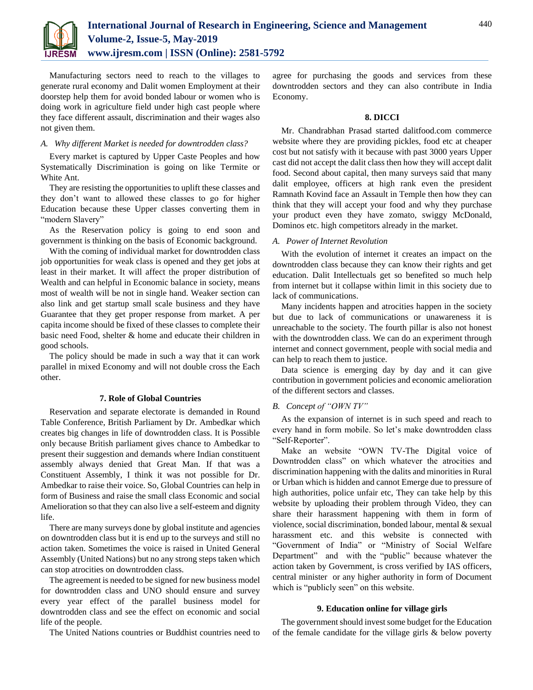

Manufacturing sectors need to reach to the villages to generate rural economy and Dalit women Employment at their doorstep help them for avoid bonded labour or women who is doing work in agriculture field under high cast people where they face different assault, discrimination and their wages also not given them.

#### *A. Why different Market is needed for downtrodden class?*

Every market is captured by Upper Caste Peoples and how Systematically Discrimination is going on like Termite or White Ant.

They are resisting the opportunities to uplift these classes and they don't want to allowed these classes to go for higher Education because these Upper classes converting them in "modern Slavery"

As the Reservation policy is going to end soon and government is thinking on the basis of Economic background.

With the coming of individual market for downtrodden class job opportunities for weak class is opened and they get jobs at least in their market. It will affect the proper distribution of Wealth and can helpful in Economic balance in society, means most of wealth will be not in single hand. Weaker section can also link and get startup small scale business and they have Guarantee that they get proper response from market. A per capita income should be fixed of these classes to complete their basic need Food, shelter & home and educate their children in good schools.

The policy should be made in such a way that it can work parallel in mixed Economy and will not double cross the Each other.

#### **7. Role of Global Countries**

Reservation and separate electorate is demanded in Round Table Conference, British Parliament by Dr. Ambedkar which creates big changes in life of downtrodden class. It is Possible only because British parliament gives chance to Ambedkar to present their suggestion and demands where Indian constituent assembly always denied that Great Man. If that was a Constituent Assembly, I think it was not possible for Dr. Ambedkar to raise their voice. So, Global Countries can help in form of Business and raise the small class Economic and social Amelioration so that they can also live a self-esteem and dignity life.

There are many surveys done by global institute and agencies on downtrodden class but it is end up to the surveys and still no action taken. Sometimes the voice is raised in United General Assembly (United Nations) but no any strong steps taken which can stop atrocities on downtrodden class.

The agreement is needed to be signed for new business model for downtrodden class and UNO should ensure and survey every year effect of the parallel business model for downtrodden class and see the effect on economic and social life of the people.

The United Nations countries or Buddhist countries need to

agree for purchasing the goods and services from these downtrodden sectors and they can also contribute in India Economy.

#### **8. DICCI**

Mr. Chandrabhan Prasad started dalitfood.com commerce website where they are providing pickles, food etc at cheaper cost but not satisfy with it because with past 3000 years Upper cast did not accept the dalit class then how they will accept dalit food. Second about capital, then many surveys said that many dalit employee, officers at high rank even the president Ramnath Kovind face an Assault in Temple then how they can think that they will accept your food and why they purchase your product even they have zomato, swiggy McDonald, Dominos etc. high competitors already in the market.

# *A. Power of Internet Revolution*

With the evolution of internet it creates an impact on the downtrodden class because they can know their rights and get education. Dalit Intellectuals get so benefited so much help from internet but it collapse within limit in this society due to lack of communications.

Many incidents happen and atrocities happen in the society but due to lack of communications or unawareness it is unreachable to the society. The fourth pillar is also not honest with the downtrodden class. We can do an experiment through internet and connect government, people with social media and can help to reach them to justice.

Data science is emerging day by day and it can give contribution in government policies and economic amelioration of the different sectors and classes.

#### *B. Concept of "OWN TV"*

As the expansion of internet is in such speed and reach to every hand in form mobile. So let's make downtrodden class "Self-Reporter".

Make an website "OWN TV-The Digital voice of Downtrodden class" on which whatever the atrocities and discrimination happening with the dalits and minorities in Rural or Urban which is hidden and cannot Emerge due to pressure of high authorities, police unfair etc, They can take help by this website by uploading their problem through Video, they can share their harassment happening with them in form of violence, social discrimination, bonded labour, mental & sexual harassment etc. and this website is connected with "Government of India" or "Ministry of Social Welfare Department" and with the "public" because whatever the action taken by Government, is cross verified by IAS officers, central minister or any higher authority in form of Document which is "publicly seen" on this website.

# **9. Education online for village girls**

The government should invest some budget for the Education of the female candidate for the village girls & below poverty